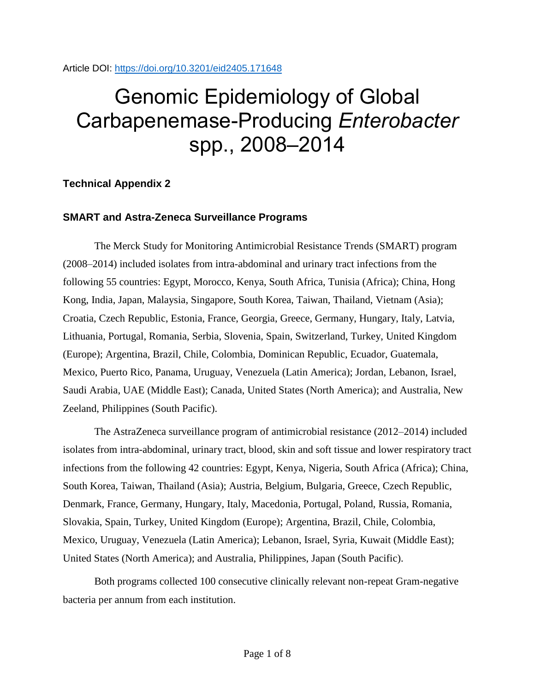Article DOI:<https://doi.org/10.3201/eid2405.171648>

# Genomic Epidemiology of Global Carbapenemase-Producing *Enterobacter* spp., 2008–2014

# **Technical Appendix 2**

# **SMART and Astra-Zeneca Surveillance Programs**

The Merck Study for Monitoring Antimicrobial Resistance Trends (SMART) program (2008–2014) included isolates from intra-abdominal and urinary tract infections from the following 55 countries: Egypt, Morocco, Kenya, South Africa, Tunisia (Africa); China, Hong Kong, India, Japan, Malaysia, Singapore, South Korea, Taiwan, Thailand, Vietnam (Asia); Croatia, Czech Republic, Estonia, France, Georgia, Greece, Germany, Hungary, Italy, Latvia, Lithuania, Portugal, Romania, Serbia, Slovenia, Spain, Switzerland, Turkey, United Kingdom (Europe); Argentina, Brazil, Chile, Colombia, Dominican Republic, Ecuador, Guatemala, Mexico, Puerto Rico, Panama, Uruguay, Venezuela (Latin America); Jordan, Lebanon, Israel, Saudi Arabia, UAE (Middle East); Canada, United States (North America); and Australia, New Zeeland, Philippines (South Pacific).

The AstraZeneca surveillance program of antimicrobial resistance (2012–2014) included isolates from intra-abdominal, urinary tract, blood, skin and soft tissue and lower respiratory tract infections from the following 42 countries: Egypt, Kenya, Nigeria, South Africa (Africa); China, South Korea, Taiwan, Thailand (Asia); Austria, Belgium, Bulgaria, Greece, Czech Republic, Denmark, France, Germany, Hungary, Italy, Macedonia, Portugal, Poland, Russia, Romania, Slovakia, Spain, Turkey, United Kingdom (Europe); Argentina, Brazil, Chile, Colombia, Mexico, Uruguay, Venezuela (Latin America); Lebanon, Israel, Syria, Kuwait (Middle East); United States (North America); and Australia, Philippines, Japan (South Pacific).

Both programs collected 100 consecutive clinically relevant non-repeat Gram-negative bacteria per annum from each institution.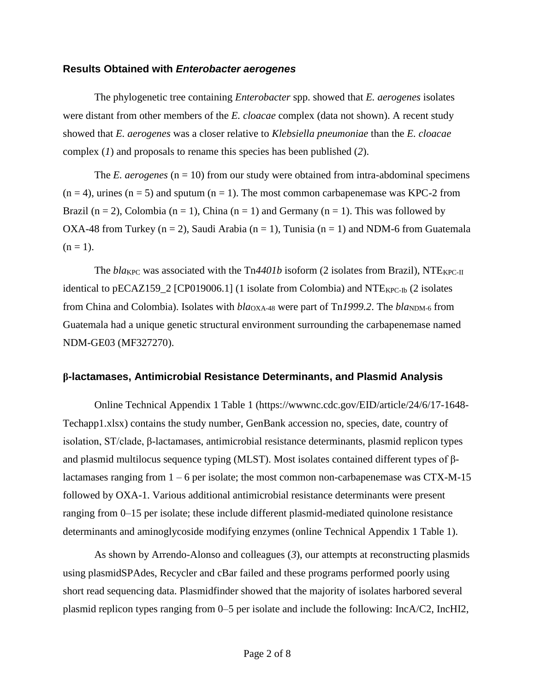#### **Results Obtained with** *Enterobacter aerogenes*

The phylogenetic tree containing *Enterobacter* spp. showed that *E. aerogenes* isolates were distant from other members of the *E. cloacae* complex (data not shown). A recent study showed that *E. aerogenes* was a closer relative to *Klebsiella pneumoniae* than the *E. cloacae* complex (*1*) and proposals to rename this species has been published (*2*).

The *E. aerogenes* ( $n = 10$ ) from our study were obtained from intra-abdominal specimens  $(n = 4)$ , urines  $(n = 5)$  and sputum  $(n = 1)$ . The most common carbapenemase was KPC-2 from Brazil (n = 2), Colombia (n = 1), China (n = 1) and Germany (n = 1). This was followed by OXA-48 from Turkey (n = 2), Saudi Arabia (n = 1), Tunisia (n = 1) and NDM-6 from Guatemala  $(n = 1)$ .

The  $bla_{KPC}$  was associated with the  $Tn4401b$  isoform (2 isolates from Brazil), NTE<sub>KPC-II</sub> identical to pECAZ159\_2 [CP019006.1] (1 isolate from Colombia) and  $NTE<sub>KPC-lb</sub>$  (2 isolates from China and Colombia). Isolates with *bla*<sub>OXA-48</sub> were part of Tn1999.2. The *bla*<sub>NDM-6</sub> from Guatemala had a unique genetic structural environment surrounding the carbapenemase named NDM-GE03 (MF327270).

## **β-lactamases, Antimicrobial Resistance Determinants, and Plasmid Analysis**

Online Technical Appendix 1 Table 1 (https://wwwnc.cdc.gov/EID/article/24/6/17-1648- Techapp1.xlsx) contains the study number, GenBank accession no, species, date, country of isolation, ST/clade, β-lactamases, antimicrobial resistance determinants, plasmid replicon types and plasmid multilocus sequence typing (MLST). Most isolates contained different types of βlactamases ranging from  $1 - 6$  per isolate; the most common non-carbapenemase was CTX-M-15 followed by OXA-1. Various additional antimicrobial resistance determinants were present ranging from 0–15 per isolate; these include different plasmid-mediated quinolone resistance determinants and aminoglycoside modifying enzymes (online Technical Appendix 1 Table 1).

As shown by Arrendo-Alonso and colleagues (*3*), our attempts at reconstructing plasmids using plasmidSPAdes, Recycler and cBar failed and these programs performed poorly using short read sequencing data. Plasmidfinder showed that the majority of isolates harbored several plasmid replicon types ranging from 0–5 per isolate and include the following: IncA/C2, IncHI2,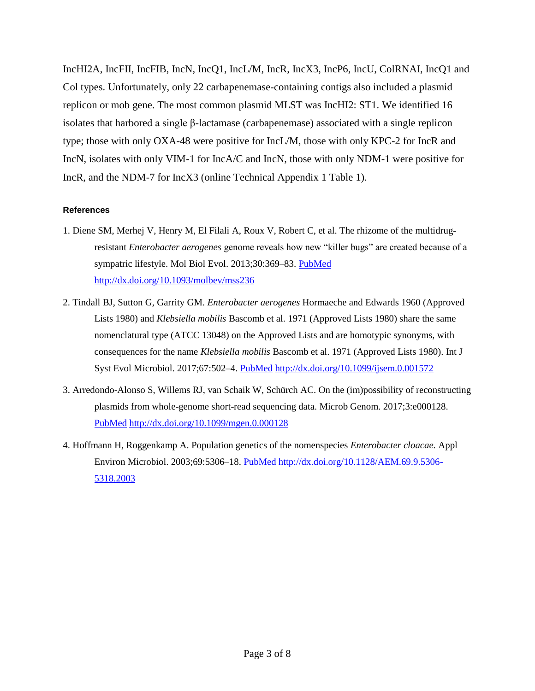IncHI2A, IncFII, IncFIB, IncN, IncQ1, IncL/M, IncR, IncX3, IncP6, IncU, ColRNAI, IncQ1 and Col types. Unfortunately, only 22 carbapenemase-containing contigs also included a plasmid replicon or mob gene. The most common plasmid MLST was IncHI2: ST1. We identified 16 isolates that harbored a single β-lactamase (carbapenemase) associated with a single replicon type; those with only OXA-48 were positive for IncL/M, those with only KPC-2 for IncR and IncN, isolates with only VIM-1 for IncA/C and IncN, those with only NDM-1 were positive for IncR, and the NDM-7 for IncX3 (online Technical Appendix 1 Table 1).

## **References**

- 1. Diene SM, Merhej V, Henry M, El Filali A, Roux V, Robert C, et al. The rhizome of the multidrugresistant *Enterobacter aerogenes* genome reveals how new "killer bugs" are created because of a sympatric lifestyle. Mol Biol Evol. 2013;30:369-83. [PubMed](https://www.ncbi.nlm.nih.gov/entrez/query.fcgi?cmd=Retrieve&db=PubMed&list_uids=23071100&dopt=Abstract) <http://dx.doi.org/10.1093/molbev/mss236>
- 2. Tindall BJ, Sutton G, Garrity GM. *Enterobacter aerogenes* Hormaeche and Edwards 1960 (Approved Lists 1980) and *Klebsiella mobilis* Bascomb et al. 1971 (Approved Lists 1980) share the same nomenclatural type (ATCC 13048) on the Approved Lists and are homotypic synonyms, with consequences for the name *Klebsiella mobilis* Bascomb et al. 1971 (Approved Lists 1980). Int J Syst Evol Microbiol. 2017;67:502–4. [PubMed](https://www.ncbi.nlm.nih.gov/entrez/query.fcgi?cmd=Retrieve&db=PubMed&list_uids=27902205&dopt=Abstract) <http://dx.doi.org/10.1099/ijsem.0.001572>
- 3. Arredondo-Alonso S, Willems RJ, van Schaik W, Schürch AC. On the (im)possibility of reconstructing plasmids from whole-genome short-read sequencing data. Microb Genom. 2017;3:e000128[.](https://www.ncbi.nlm.nih.gov/entrez/query.fcgi?cmd=Retrieve&db=PubMed&list_uids=29177087&dopt=Abstract) [PubMed](https://www.ncbi.nlm.nih.gov/entrez/query.fcgi?cmd=Retrieve&db=PubMed&list_uids=29177087&dopt=Abstract) <http://dx.doi.org/10.1099/mgen.0.000128>
- 4. Hoffmann H, Roggenkamp A. Population genetics of the nomenspecies *Enterobacter cloacae.* Appl Environ Microbiol. 2003;69:5306–18. [PubMed](https://www.ncbi.nlm.nih.gov/entrez/query.fcgi?cmd=Retrieve&db=PubMed&list_uids=12957918&dopt=Abstract) [http://dx.doi.org/10.1128/AEM.69.9.5306-](http://dx.doi.org/10.1128/AEM.69.9.5306-5318.2003) [5318.2003](http://dx.doi.org/10.1128/AEM.69.9.5306-5318.2003)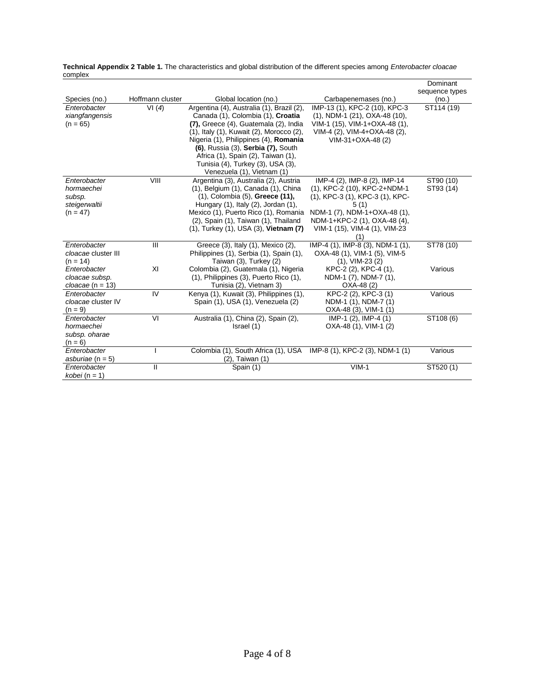|                          |                  |                                                                             |                                          | Dominant       |
|--------------------------|------------------|-----------------------------------------------------------------------------|------------------------------------------|----------------|
|                          |                  |                                                                             |                                          | sequence types |
| Species (no.)            | Hoffmann cluster | Global location (no.)                                                       | Carbapenemases (no.)                     | (no.)          |
| Enterobacter             | VI(4)            | Argentina (4), Australia (1), Brazil (2),                                   | IMP-13 (1), KPC-2 (10), KPC-3            | ST114 (19)     |
| xiangfangensis           |                  | Canada (1), Colombia (1), Croatia                                           | (1), NDM-1 (21), OXA-48 (10),            |                |
| $(n = 65)$               |                  | (7), Greece (4), Guatemala (2), India                                       | VIM-1 (15), VIM-1+OXA-48 (1),            |                |
|                          |                  | (1), Italy (1), Kuwait (2), Morocco (2),                                    | VIM-4 (2), VIM-4+OXA-48 (2),             |                |
|                          |                  | Nigeria (1), Philippines (4), Romania                                       | VIM-31+OXA-48 (2)                        |                |
|                          |                  | (6), Russia (3), Serbia (7), South                                          |                                          |                |
|                          |                  | Africa (1), Spain (2), Taiwan (1),                                          |                                          |                |
|                          |                  | Tunisia (4), Turkey (3), USA (3),                                           |                                          |                |
|                          |                  | Venezuela (1), Vietnam (1)                                                  |                                          |                |
| Enterobacter             | VIII             | Argentina (3), Australia (2), Austria                                       | IMP-4 (2), IMP-8 (2), IMP-14             | ST90 (10)      |
| hormaechei               |                  | (1), Belgium (1), Canada (1), China                                         | (1), KPC-2 (10), KPC-2+NDM-1             | ST93 (14)      |
| subsp.                   |                  | (1), Colombia (5), Greece (11),                                             | (1), KPC-3 (1), KPC-3 (1), KPC-          |                |
| steigerwaltii            |                  | Hungary (1), Italy (2), Jordan (1),<br>Mexico (1), Puerto Rico (1), Romania | 5(1)<br>NDM-1 (7), NDM-1+OXA-48 (1),     |                |
| $(n = 47)$               |                  | (2), Spain (1), Taiwan (1), Thailand                                        | NDM-1+KPC-2 (1), OXA-48 (4),             |                |
|                          |                  | $(1)$ , Turkey $(1)$ , USA $(3)$ , Vietnam $(7)$                            | VIM-1 (15), VIM-4 (1), VIM-23            |                |
|                          |                  |                                                                             | (1)                                      |                |
| Enterobacter             | Ш                | Greece (3), Italy (1), Mexico (2),                                          | IMP-4 (1), IMP-8 (3), NDM-1 (1),         | ST78 (10)      |
| cloacae cluster III      |                  | Philippines (1), Serbia (1), Spain (1),                                     | OXA-48 (1), VIM-1 (5), VIM-5             |                |
| $(n = 14)$               |                  | Taiwan (3), Turkey (2)                                                      | $(1)$ , VIM-23 $(2)$                     |                |
| Enterobacter             | XI               | Colombia (2), Guatemala (1), Nigeria                                        | KPC-2 (2), KPC-4 (1),                    | Various        |
| cloacae subsp.           |                  | (1), Philippines (3), Puerto Rico (1),                                      | NDM-1 (7), NDM-7 (1),                    |                |
| cloacae (n = 13)         |                  | Tunisia (2), Vietnam 3)                                                     | OXA-48 (2)                               |                |
| Enterobacter             | IV               | Kenya (1), Kuwait (3), Philippines (1),                                     | KPC-2 (2), KPC-3 (1)                     | Various        |
| cloacae cluster IV       |                  | Spain (1), USA (1), Venezuela (2)                                           | NDM-1 (1), NDM-7 (1)                     |                |
| $(n = 9)$                |                  |                                                                             | OXA-48 (3), VIM-1 (1)                    |                |
| Enterobacter             | VI               | Australia (1), China (2), Spain (2),                                        | $\overline{\text{IMP-1}}$ (2), IMP-4 (1) | ST108 (6)      |
| hormaechei               |                  | Israel (1)                                                                  | OXA-48 (1), VIM-1 (2)                    |                |
| subsp. oharae            |                  |                                                                             |                                          |                |
| $(n = 6)$                |                  |                                                                             |                                          |                |
| Enterobacter             |                  | Colombia (1), South Africa (1), USA                                         | IMP-8 (1), KPC-2 (3), NDM-1 (1)          | Various        |
| asburiae ( $n = 5$ )     |                  | $(2)$ , Taiwan $(1)$                                                        |                                          |                |
| Enterobacter             | Ш                | Spain (1)                                                                   | $VIM-1$                                  | ST520 (1)      |
| <i>kobei</i> ( $n = 1$ ) |                  |                                                                             |                                          |                |

**Technical Appendix 2 Table 1.** The characteristics and global distribution of the different species among *Enterobacter cloacae* complex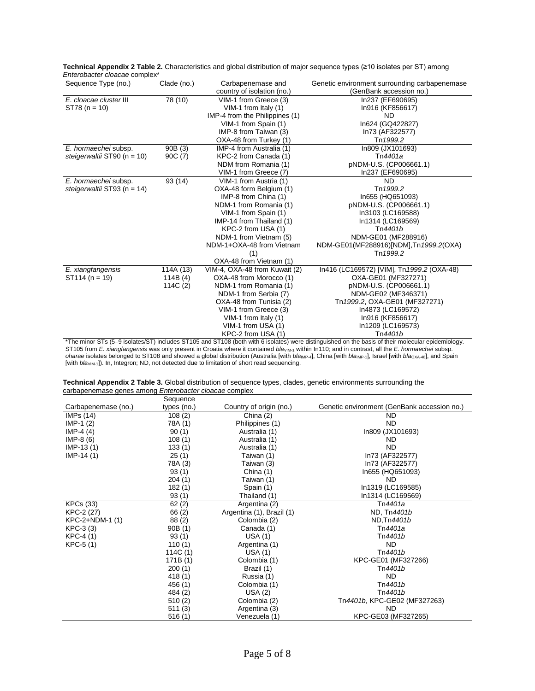| Little obactor cloacac complex  |             |                                |                                               |
|---------------------------------|-------------|--------------------------------|-----------------------------------------------|
| Sequence Type (no.)             | Clade (no.) | Carbapenemase and              | Genetic environment surrounding carbapenemase |
|                                 |             | country of isolation (no.)     | (GenBank accession no.)                       |
| E. cloacae cluster III          | 78 (10)     | VIM-1 from Greece (3)          | In237 (EF690695)                              |
| $ST78 (n = 10)$                 |             | VIM-1 from Italy $(1)$         | In916 (KF856617)                              |
|                                 |             | IMP-4 from the Philippines (1) | ND.                                           |
|                                 |             | VIM-1 from Spain (1)           | In624 (GQ422827)                              |
|                                 |             | IMP-8 from Taiwan (3)          | In73 (AF322577)                               |
|                                 |             | OXA-48 from Turkey (1)         | Tn 1999.2                                     |
| E. hormaechei subsp.            | 90B (3)     | IMP-4 from Australia (1)       | In809 (JX101693)                              |
| steigerwaltii ST90 ( $n = 10$ ) | 90C (7)     | KPC-2 from Canada (1)          | Tn4401a                                       |
|                                 |             | NDM from Romania (1)           | pNDM-U.S. (CP006661.1)                        |
|                                 |             | VIM-1 from Greece (7)          | In237 (EF690695)                              |
| E. hormaechei subsp.            | 93 (14)     | VIM-1 from Austria (1)         | ND.                                           |
| steigerwaltii ST93 ( $n = 14$ ) |             | OXA-48 form Belgium (1)        | Tn 1999.2                                     |
|                                 |             | IMP-8 from China (1)           | In655 (HQ651093)                              |
|                                 |             | NDM-1 from Romania (1)         | pNDM-U.S. (CP006661.1)                        |
|                                 |             | VIM-1 from Spain (1)           | In3103 (LC169588)                             |
|                                 |             | IMP-14 from Thailand (1)       | In1314 (LC169569)                             |
|                                 |             | KPC-2 from USA (1)             | Tn4401b                                       |
|                                 |             | NDM-1 from Vietnam (5)         | NDM-GE01 (MF288916)                           |
|                                 |             | NDM-1+OXA-48 from Vietnam      | NDM-GE01(MF288916)[NDM], Tn 1999.2(OXA)       |
|                                 |             | (1)                            | Tn 1999.2                                     |
|                                 |             | OXA-48 from Vietnam (1)        |                                               |
| E. xiangfangensis               | 114A (13)   | VIM-4, OXA-48 from Kuwait (2)  | In416 (LC169572) [VIM], Tn1999.2 (OXA-48)     |
| $ST114 (n = 19)$                | 114B $(4)$  | OXA-48 from Morocco (1)        | OXA-GE01 (MF327271)                           |
|                                 | 114C (2)    | NDM-1 from Romania (1)         | pNDM-U.S. (CP006661.1)                        |
|                                 |             | NDM-1 from Serbia (7)          | NDM-GE02 (MF346371)                           |
|                                 |             | OXA-48 from Tunisia (2)        | Tn 1999.2, OXA-GE01 (MF327271)                |
|                                 |             | VIM-1 from Greece (3)          | In4873 (LC169572)                             |
|                                 |             | VIM-1 from Italy (1)           | In916 (KF856617)                              |
|                                 |             | VIM-1 from USA (1)             | In1209 (LC169573)                             |
|                                 |             | KPC-2 from USA (1)             | Tn4401b                                       |

**Technical Appendix 2 Table 2.** Characteristics and global distribution of major sequence types (≥10 isolates per ST) among *Enterobacter cloacae* complex\*

\*The minor STs (5–9 isolates/ST) includes ST105 and ST108 (both with 6 isolates) were distinguished on the basis of their molecular epidemiology. ST105 from *E. xiangfangensis* was only present in Croatia where it contained *bla*<sub>VIM-1</sub> within In110; and in contrast, all the *E. hormaechei* subsp. oharae isolates belonged to ST108 and showed a global distribution (Australia [with *bla*<sub>IMP-4</sub>], China [with *bla*<sub>IMP-1</sub>], Israel [with *bla*<sub>OXA-48</sub>], and Spain [with *bla*<sub>VIM-1</sub>]). In, Integron; ND, not detected due to limitation of short read sequencing.

| Technical Appendix 2 Table 3. Global distribution of sequence types, clades, genetic environments surrounding the |  |
|-------------------------------------------------------------------------------------------------------------------|--|
| carbapenemase genes among Enterobacter cloacae complex                                                            |  |
|                                                                                                                   |  |

|                     | Sequence    |                           |                                             |
|---------------------|-------------|---------------------------|---------------------------------------------|
| Carbapenemase (no.) | types (no.) | Country of origin (no.)   | Genetic environment (GenBank accession no.) |
| IMPs (14)           | 108(2)      | China (2)                 | ND.                                         |
| $IMP-1(2)$          | 78A (1)     | Philippines (1)           | <b>ND</b>                                   |
| IMP-4 $(4)$         | 90(1)       | Australia (1)             | In809 (JX101693)                            |
| $IMP-8(6)$          | 108(1)      | Australia (1)             | ND                                          |
| $IMP-13(1)$         | 133(1)      | Australia (1)             | <b>ND</b>                                   |
| $IMP-14(1)$         | 25(1)       | Taiwan (1)                | In73 (AF322577)                             |
|                     | 78A (3)     | Taiwan (3)                | In73 (AF322577)                             |
|                     | 93(1)       | China (1)                 | In655 (HQ651093)                            |
|                     | 204(1)      | Taiwan (1)                | ND.                                         |
|                     | 182(1)      | Spain (1)                 | In1319 (LC169585)                           |
|                     | 93(1)       | Thailand (1)              | In1314 (LC169569)                           |
| <b>KPCs (33)</b>    | 62(2)       | Argentina (2)             | Tn4401a                                     |
| KPC-2 (27)          | 66 (2)      | Argentina (1), Brazil (1) | ND, Tn4401b                                 |
| KPC-2+NDM-1 (1)     | 88 (2)      | Colombia (2)              | ND, Tn4401b                                 |
| $KPC-3$ (3)         | 90B(1)      | Canada (1)                | Tn4401a                                     |
| KPC-4 (1)           | 93(1)       | USA(1)                    | Tn4401b                                     |
| $KPC-5(1)$          | 110(1)      | Argentina (1)             | ND.                                         |
|                     | 114C (1)    | USA(1)                    | Tn4401b                                     |
|                     | 171B(1)     | Colombia (1)              | KPC-GE01 (MF327266)                         |
|                     | 200(1)      | Brazil (1)                | Tn4401b                                     |
|                     | 418(1)      | Russia (1)                | <b>ND</b>                                   |
|                     | 456 (1)     | Colombia (1)              | Tn4401b                                     |
|                     | 484 (2)     | USA(2)                    | Tn4401b                                     |
|                     | 510(2)      | Colombia (2)              | Tn4401b, KPC-GE02 (MF327263)                |
|                     | 511 (3)     | Argentina (3)             | <b>ND</b>                                   |
|                     | 516(1)      | Venezuela (1)             | KPC-GE03 (MF327265)                         |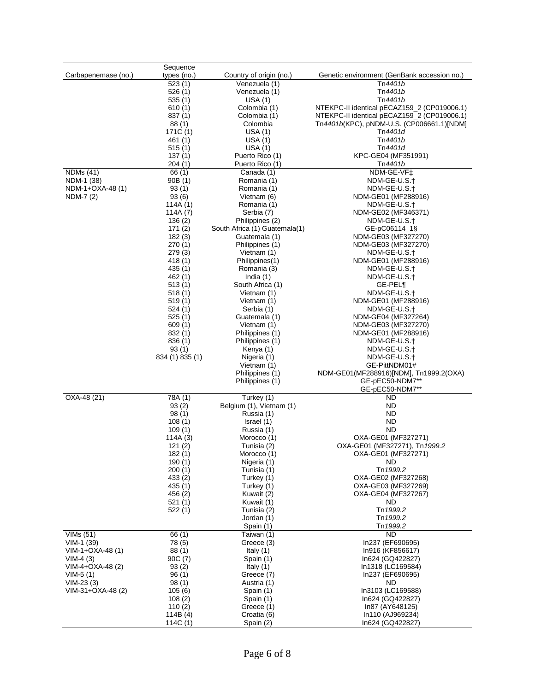|                     | Sequence              |                               |                                             |
|---------------------|-----------------------|-------------------------------|---------------------------------------------|
| Carbapenemase (no.) | types (no.)           | Country of origin (no.)       | Genetic environment (GenBank accession no.) |
|                     | 523(1)                | Venezuela (1)                 | Tn4401b                                     |
|                     |                       |                               |                                             |
|                     | 526(1)                | Venezuela (1)                 | Tn4401b                                     |
|                     | 535(1)                | USA (1)                       | Tn4401b                                     |
|                     | 610(1)                | Colombia (1)                  | NTEKPC-II identical pECAZ159_2 (CP019006.1) |
|                     |                       |                               | NTEKPC-II identical pECAZ159 2 (CP019006.1) |
|                     | 837(1)                | Colombia (1)                  |                                             |
|                     | 88(1)                 | Colombia                      | Tn4401b(KPC), pNDM-U.S. (CP006661.1)[NDM]   |
|                     | 171C (1)              | USA (1)                       | Tn4401d                                     |
|                     | 461(1)                | USA(1)                        | Tn4401b                                     |
|                     |                       |                               |                                             |
|                     | 515(1)                | USA(1)                        | Tn4401d                                     |
|                     | 137(1)                | Puerto Rico (1)               | KPC-GE04 (MF351991)                         |
|                     | 204(1)                | Puerto Rico (1)               | Tn <i>4401b</i>                             |
|                     |                       |                               |                                             |
| <b>NDMs</b> (41)    | 66 (1)                | Canada (1)                    | NDM-GE-VF‡                                  |
| NDM-1 (38)          | 90B (1)               | Romania (1)                   | NDM-GE-U.S.†                                |
| NDM-1+OXA-48 (1)    | 93(1)                 | Romania (1)                   | NDM-GE-U.S.+                                |
| NDM-7 (2)           | 93(6)                 | Vietnam (6)                   | NDM-GE01 (MF288916)                         |
|                     |                       |                               |                                             |
|                     | 114A(1)               | Romania (1)                   | NDM-GE-U.S.†                                |
|                     | 114A $(7)$            | Serbia (7)                    | NDM-GE02 (MF346371)                         |
|                     | 136(2)                | Philippines (2)               | NDM-GE-U.S.†                                |
|                     | 171(2)                | South Africa (1) Guatemala(1) |                                             |
|                     |                       |                               | GE-pC06114_1§                               |
|                     | 182(3)                | Guatemala (1)                 | NDM-GE03 (MF327270)                         |
|                     | 270(1)                | Philippines (1)               | NDM-GE03 (MF327270)                         |
|                     | 279(3)                | Vietnam (1)                   | NDM-GE-U.S.†                                |
|                     |                       |                               |                                             |
|                     | 418(1)                | Philippines(1)                | NDM-GE01 (MF288916)                         |
|                     | 435 (1)               | Romania (3)                   | NDM-GE-U.S.†                                |
|                     | 462 (1)               | India $(1)$                   | NDM-GE-U.S.†                                |
|                     | 513 (1)               | South Africa (1)              | <b>GE-PEL¶</b>                              |
|                     |                       |                               |                                             |
|                     | 518(1)                | Vietnam (1)                   | NDM-GE-U.S.†                                |
|                     | 519(1)                | Vietnam (1)                   | NDM-GE01 (MF288916)                         |
|                     | 524(1)                | Serbia (1)                    | NDM-GE-U.S.†                                |
|                     |                       | Guatemala (1)                 |                                             |
|                     | 525 (1)               |                               | NDM-GE04 (MF327264)                         |
|                     | 609(1)                | Vietnam (1)                   | NDM-GE03 (MF327270)                         |
|                     | 832 (1)               | Philippines (1)               | NDM-GE01 (MF288916)                         |
|                     | 836 (1)               | Philippines (1)               | NDM-GE-U.S.†                                |
|                     |                       |                               |                                             |
|                     | 93(1)                 | Kenya (1)                     | NDM-GE-U.S.†                                |
|                     | 834 (1) 835 (1)       |                               |                                             |
|                     |                       | Nigeria (1)                   | NDM-GE-U.S.†                                |
|                     |                       |                               |                                             |
|                     |                       | Vietnam (1)                   | GE-PittNDM01#                               |
|                     |                       | Philippines (1)               | NDM-GE01(MF288916)[NDM], Tn1999.2(OXA)      |
|                     |                       | Philippines (1)               | GE-pEC50-NDM7**                             |
|                     |                       |                               | GE-pEC50-NDM7**                             |
|                     |                       |                               |                                             |
| OXA-48 (21)         | 78A (1)               | Turkey (1)                    | ND                                          |
|                     | 93(2)                 | Belgium (1), Vietnam (1)      | ND                                          |
|                     | 98(1)                 | Russia (1)                    | ND                                          |
|                     |                       |                               | <b>ND</b>                                   |
|                     | 108(1)                | Israel (1)                    |                                             |
|                     | 109(1)                | Russia (1)                    | <b>ND</b>                                   |
|                     | 114A (3)              | Morocco (1)                   | OXA-GE01 (MF327271)                         |
|                     | 121(2)                | Tunisia (2)                   | OXA-GE01 (MF327271), Tn 1999.2              |
|                     | 182(1)                | Morocco (1)                   | OXA-GE01 (MF327271)                         |
|                     |                       |                               |                                             |
|                     | 190 (1)               | Nigeria (1)                   | ND                                          |
|                     | 200(1)                | Tunisia (1)                   | Tn 1999.2                                   |
|                     | 433(2)                | Turkey (1)                    | OXA-GE02 (MF327268)                         |
|                     |                       | Turkey (1)                    | OXA-GE03 (MF327269)                         |
|                     | 435 (1)               |                               |                                             |
|                     | 456 (2)               | Kuwait (2)                    | OXA-GE04 (MF327267)                         |
|                     | 521(1)                | Kuwait (1)                    | <b>ND</b>                                   |
|                     | 522(1)                | Tunisia (2)                   | Tn 1999.2                                   |
|                     |                       |                               | Tn 1999.2                                   |
|                     |                       | Jordan (1)                    |                                             |
|                     |                       | Spain (1)                     | Tn 1999.2                                   |
| VIMS (51)           | 66 (1)                | Taiwan (1)                    | <b>ND</b>                                   |
| $VIM-1(39)$         | 78 (5)                | Greece (3)                    | In237 (EF690695)                            |
|                     |                       |                               |                                             |
| VIM-1+OXA-48 (1)    | 88(1)                 | Italy $(1)$                   | In916 (KF856617)                            |
| $VIM-4(3)$          | 90C (7)               | Spain (1)                     | In624 (GQ422827)                            |
| VIM-4+OXA-48 (2)    | 93(2)                 | Italy $(1)$                   | In1318 (LC169584)                           |
| $VIM-5(1)$          | 96(1)                 | Greece (7)                    | In237 (EF690695)                            |
|                     |                       |                               |                                             |
| $VIM-23(3)$         | 98(1)                 | Austria (1)                   | ND.                                         |
| VIM-31+OXA-48 (2)   | 105(6)                | Spain (1)                     | In3103 (LC169588)                           |
|                     | 108(2)                | Spain (1)                     | In624 (GQ422827)                            |
|                     |                       |                               | In87 (AY648125)                             |
|                     | 110(2)                | Greece (1)                    |                                             |
|                     | 114B(4)<br>114C $(1)$ | Croatia (6)<br>Spain (2)      | In110 (AJ969234)<br>In624 (GQ422827)        |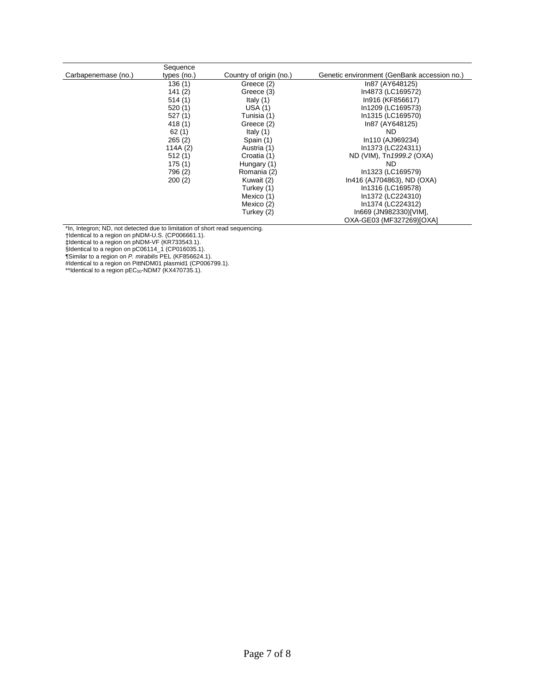|                     | Sequence    |                         |                                             |
|---------------------|-------------|-------------------------|---------------------------------------------|
| Carbapenemase (no.) | types (no.) | Country of origin (no.) | Genetic environment (GenBank accession no.) |
|                     | 136(1)      | Greece (2)              | In87 (AY648125)                             |
|                     | 141(2)      | Greece (3)              | In4873 (LC169572)                           |
|                     | 514(1)      | Italy $(1)$             | In916 (KF856617)                            |
|                     | 520(1)      | USA(1)                  | In1209 (LC169573)                           |
|                     | 527(1)      | Tunisia (1)             | In1315 (LC169570)                           |
|                     | 418(1)      | Greece (2)              | In87 (AY648125)                             |
|                     | 62(1)       | Italy $(1)$             | ND.                                         |
|                     | 265(2)      | Spain (1)               | In110 (AJ969234)                            |
|                     | 114A $(2)$  | Austria (1)             | In1373 (LC224311)                           |
|                     | 512(1)      | Croatia (1)             | ND (VIM), Tn 1999.2 (OXA)                   |
|                     | 175(1)      | Hungary (1)             | ND.                                         |
|                     | 796 (2)     | Romania (2)             | In1323 (LC169579)                           |
|                     | 200(2)      | Kuwait (2)              | In416 (AJ704863), ND (OXA)                  |
|                     |             | Turkey (1)              | In1316 (LC169578)                           |
|                     |             | Mexico (1)              | In1372 (LC224310)                           |
|                     |             | Mexico (2)              | In1374 (LC224312)                           |
|                     |             | Turkey (2)              | In669 (JN982330)[VIM],                      |
|                     |             |                         | OXA-GE03 (MF327269)[OXA]                    |

\*In, Integron; ND, not detected due to limitation of short read sequencing.

†Identical to a region on pNDM-U.S. (CP006661.1).

‡Identical to a region on pNDM-VF (KR733543.1).

§Identical to a region on pC06114\_1 (CP016035.1).

¶Similar to a region on *P. mirabilis* PEL (KF856624.1).

#Identical to a region on PittNDM01 plasmid1 (CP006799.1).

\*\*Identical to a region pEC<sub>50</sub>-NDM7 (KX470735.1).